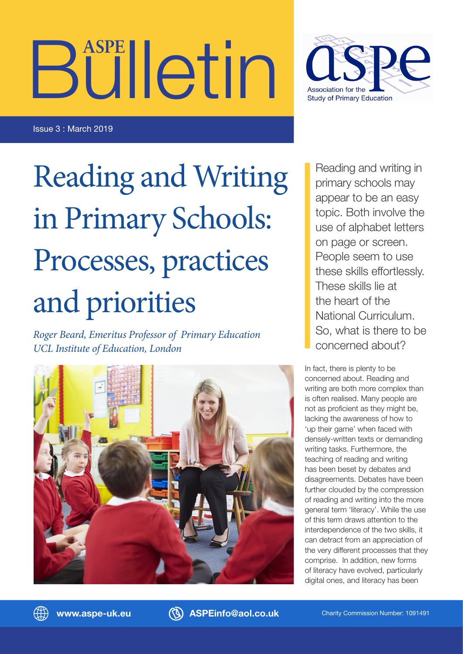# Bulletin **ASPE**



Issue 3 : March 2019

# Reading and Writing in Primary Schools: Processes, practices and priorities

*Roger Beard, Emeritus Professor of Primary Education UCL Institute of Education, London*



Reading and writing in primary schools may appear to be an easy topic. Both involve the use of alphabet letters on page or screen. People seem to use these skills effortlessly. These skills lie at the heart of the National Curriculum. So, what is there to be concerned about?

In fact, there is plenty to be concerned about. Reading and writing are both more complex than is often realised. Many people are not as proficient as they might be, lacking the awareness of how to 'up their game' when faced with densely-written texts or demanding writing tasks. Furthermore, the teaching of reading and writing has been beset by debates and disagreements. Debates have been further clouded by the compression of reading and writing into the more general term 'literacy'. While the use of this term draws attention to the interdependence of the two skills, it can detract from an appreciation of the very different processes that they comprise. In addition, new forms of literacy have evolved, particularly digital ones, and literacy has been



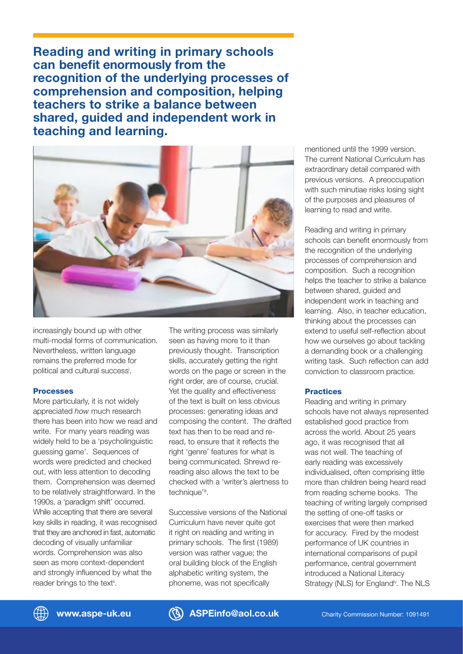**Reading and writing in primary schools can benefit enormously from the recognition of the underlying processes of comprehension and composition, helping teachers to strike a balance between shared, guided and independent work in teaching and learning.**



increasingly bound up with other multi-modal forms of communication. Nevertheless, written language remains the preferred mode for political and cultural successi .

### Processes

More particularly, it is not widely appreciated *how* much research there has been into how we read and write. For many years reading was widely held to be a 'psycholinguistic guessing game'. Sequences of words were predicted and checked out, with less attention to decoding them. Comprehension was deemed to be relatively straightforward. In the 1990s, a 'paradigm shift' occurred. While accepting that there are several key skills in reading, it was recognised that they are anchored in fast, automatic decoding of visually unfamiliar words. Comprehension was also seen as more context-dependent and strongly influenced by what the reader brings to the text<sup>ii</sup>.

The writing process was similarly seen as having more to it than previously thought. Transcription skills, accurately getting the right words on the page or screen in the right order, are of course, crucial. Yet the quality and effectiveness of the text is built on less obvious processes: generating ideas and composing the content. The drafted text has then to be read and reread, to ensure that it reflects the right 'genre' features for what is being communicated. Shrewd rereading also allows the text to be checked with a 'writer's alertness to technique'ii.

Successive versions of the National Curriculum have never quite got it right on reading and writing in primary schools. The first (1989) version was rather vague; the oral building block of the English alphabetic writing system, the phoneme, was not specifically

mentioned until the 1999 version. The current National Curriculum has extraordinary detail compared with previous versions. A preoccupation with such minutiae risks losing sight of the purposes and pleasures of learning to read and write.

Reading and writing in primary schools can benefit enormously from the recognition of the underlying processes of comprehension and composition. Such a recognition helps the teacher to strike a balance between shared, guided and independent work in teaching and learning. Also, in teacher education, thinking about the processes can extend to useful self-reflection about how we ourselves go about tackling a demanding book or a challenging writing task. Such reflection can add conviction to classroom practice.

### **Practices**

Reading and writing in primary schools have not always represented established good practice from across the world. About 25 years ago, it was recognised that all was not well. The teaching of early reading was excessively individualised, often comprising little more than children being heard read from reading scheme books. The teaching of writing largely comprised the setting of one-off tasks or exercises that were then marked for accuracy. Fired by the modest performance of UK countries in international comparisons of pupil performance, central government introduced a National Literacy Strategy (NLS) for England<sup>iv</sup>. The NLS



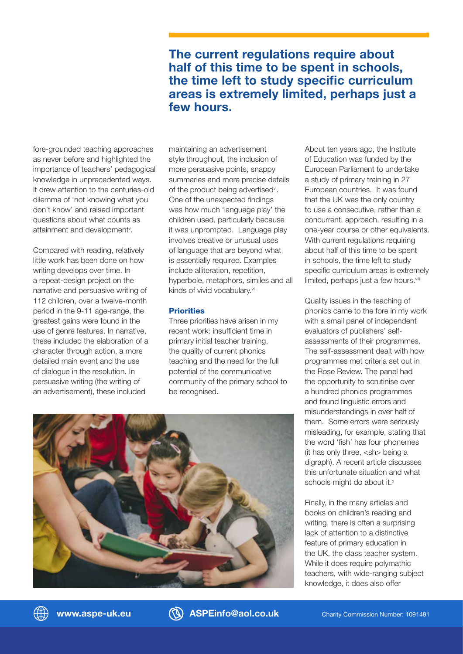## **The current regulations require about half of this time to be spent in schools, the time left to study specific curriculum areas is extremely limited, perhaps just a few hours.**

fore-grounded teaching approaches as never before and highlighted the importance of teachers' pedagogical knowledge in unprecedented ways. It drew attention to the centuries-old dilemma of 'not knowing what you don't know' and raised important questions about what counts as attainment and development<sup>v</sup>.

Compared with reading, relatively little work has been done on how writing develops over time. In a repeat-design project on the narrative and persuasive writing of 112 children, over a twelve-month period in the 9-11 age-range, the greatest gains were found in the use of genre features. In narrative, these included the elaboration of a character through action, a more detailed main event and the use of dialogue in the resolution. In persuasive writing (the writing of an advertisement), these included

maintaining an advertisement style throughout, the inclusion of more persuasive points, snappy summaries and more precise details of the product being advertised<sup>vi</sup>. One of the unexpected findings was how much 'language play' the children used, particularly because it was unprompted. Language play involves creative or unusual uses of language that are beyond what is essentially required. Examples include alliteration, repetition, hyperbole, metaphors, similes and all kinds of vivid vocabulary.vii

### **Priorities**

Three priorities have arisen in my recent work: insufficient time in primary initial teacher training, the quality of current phonics teaching and the need for the full potential of the communicative community of the primary school to be recognised.

About ten years ago, the Institute of Education was funded by the European Parliament to undertake a study of primary training in 27 European countries. It was found that the UK was the only country to use a consecutive, rather than a concurrent, approach, resulting in a one-year course or other equivalents. With current regulations requiring about half of this time to be spent in schools, the time left to study specific curriculum areas is extremely limited, perhaps just a few hours.<sup>viii</sup>

Quality issues in the teaching of phonics came to the fore in my work with a small panel of independent evaluators of publishers' selfassessments of their programmes. The self-assessment dealt with how programmes met criteria set out in the Rose Review. The panel had the opportunity to scrutinise over a hundred phonics programmes and found linguistic errors and misunderstandings in over half of them. Some errors were seriously misleading, for example, stating that the word 'fish' has four phonemes (it has only three, <sh> being a digraph). A recent article discusses this unfortunate situation and what schools might do about it.<sup>x</sup>

Finally, in the many articles and books on children's reading and writing, there is often a surprising lack of attention to a distinctive feature of primary education in the UK, the class teacher system. While it does require polymathic teachers, with wide-ranging subject knowledge, it does also offer